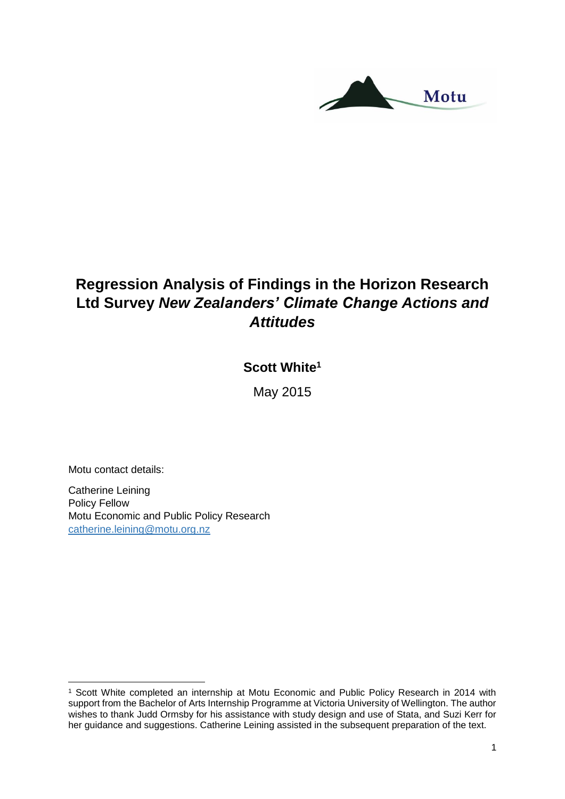

# **Regression Analysis of Findings in the Horizon Research Ltd Survey** *New Zealanders' Climate Change Actions and Attitudes*

## **Scott White<sup>1</sup>**

May 2015

Motu contact details:

**.** 

Catherine Leining Policy Fellow Motu Economic and Public Policy Research [catherine.leining@motu.org.nz](mailto:catherine.leining@motu.org.nz)

<sup>1</sup> Scott White completed an internship at Motu Economic and Public Policy Research in 2014 with support from the Bachelor of Arts Internship Programme at Victoria University of Wellington. The author wishes to thank Judd Ormsby for his assistance with study design and use of Stata, and Suzi Kerr for her guidance and suggestions. Catherine Leining assisted in the subsequent preparation of the text.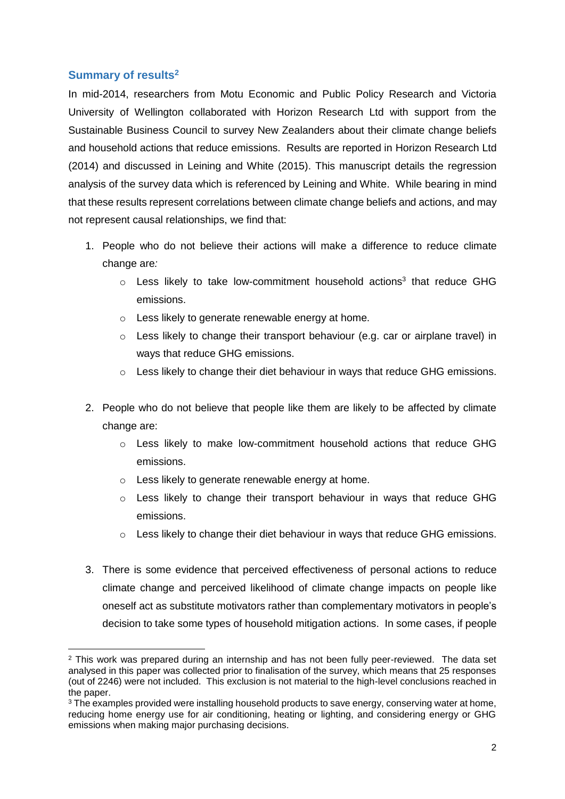## **Summary of results<sup>2</sup>**

In mid-2014, researchers from Motu Economic and Public Policy Research and Victoria University of Wellington collaborated with Horizon Research Ltd with support from the Sustainable Business Council to survey New Zealanders about their climate change beliefs and household actions that reduce emissions. Results are reported in Horizon Research Ltd (2014) and discussed in Leining and White (2015). This manuscript details the regression analysis of the survey data which is referenced by Leining and White. While bearing in mind that these results represent correlations between climate change beliefs and actions, and may not represent causal relationships, we find that:

- 1. People who do not believe their actions will make a difference to reduce climate change are*:*
	- $\circ$  Less likely to take low-commitment household actions<sup>3</sup> that reduce GHG emissions.
	- o Less likely to generate renewable energy at home.
	- $\circ$  Less likely to change their transport behaviour (e.g. car or airplane travel) in ways that reduce GHG emissions.
	- $\circ$  Less likely to change their diet behaviour in ways that reduce GHG emissions.
- 2. People who do not believe that people like them are likely to be affected by climate change are:
	- $\circ$  Less likely to make low-commitment household actions that reduce GHG emissions.
	- o Less likely to generate renewable energy at home.
	- $\circ$  Less likely to change their transport behaviour in ways that reduce GHG emissions.
	- o Less likely to change their diet behaviour in ways that reduce GHG emissions.
- 3. There is some evidence that perceived effectiveness of personal actions to reduce climate change and perceived likelihood of climate change impacts on people like oneself act as substitute motivators rather than complementary motivators in people's decision to take some types of household mitigation actions. In some cases, if people

**<sup>.</sup>**  $2$  This work was prepared during an internship and has not been fully peer-reviewed. The data set analysed in this paper was collected prior to finalisation of the survey, which means that 25 responses (out of 2246) were not included. This exclusion is not material to the high-level conclusions reached in the paper.

<sup>&</sup>lt;sup>3</sup> The examples provided were installing household products to save energy, conserving water at home, reducing home energy use for air conditioning, heating or lighting, and considering energy or GHG emissions when making major purchasing decisions.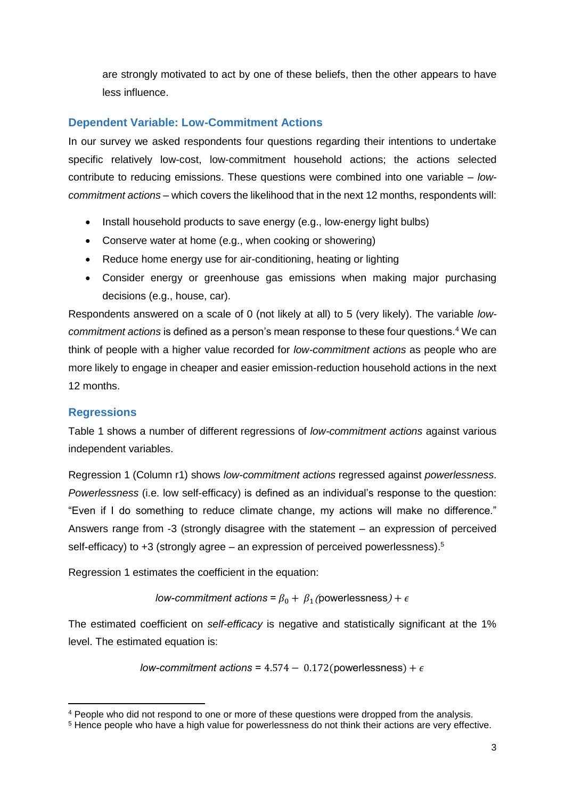are strongly motivated to act by one of these beliefs, then the other appears to have less influence.

## **Dependent Variable: Low-Commitment Actions**

In our survey we asked respondents four questions regarding their intentions to undertake specific relatively low-cost, low-commitment household actions; the actions selected contribute to reducing emissions. These questions were combined into one variable – *lowcommitment actions* – which covers the likelihood that in the next 12 months, respondents will:

- Install household products to save energy (e.g., low-energy light bulbs)
- Conserve water at home (e.g., when cooking or showering)
- Reduce home energy use for air-conditioning, heating or lighting
- Consider energy or greenhouse gas emissions when making major purchasing decisions (e.g., house, car).

Respondents answered on a scale of 0 (not likely at all) to 5 (very likely). The variable *lowcommitment actions* is defined as a person's mean response to these four questions.<sup>4</sup> We can think of people with a higher value recorded for *low-commitment actions* as people who are more likely to engage in cheaper and easier emission-reduction household actions in the next 12 months.

#### **Regressions**

**.** 

Table 1 shows a number of different regressions of *low-commitment actions* against various independent variables.

Regression 1 (Column r1) shows *low-commitment actions* regressed against *powerlessness*. *Powerlessness* (i.e. low self-efficacy) is defined as an individual's response to the question: "Even if I do something to reduce climate change, my actions will make no difference." Answers range from -3 (strongly disagree with the statement – an expression of perceived self-efficacy) to  $+3$  (strongly agree – an expression of perceived powerlessness).<sup>5</sup>

Regression 1 estimates the coefficient in the equation:

*low-commitment actions* =  $\beta_0 + \beta_1$  (powerlessness) +  $\epsilon$ 

The estimated coefficient on *self-efficacy* is negative and statistically significant at the 1% level. The estimated equation is:

*low-commitment actions* =  $4.574 - 0.172$  (powerlessness) +  $\epsilon$ 

<sup>4</sup> People who did not respond to one or more of these questions were dropped from the analysis.

<sup>5</sup> Hence people who have a high value for powerlessness do not think their actions are very effective.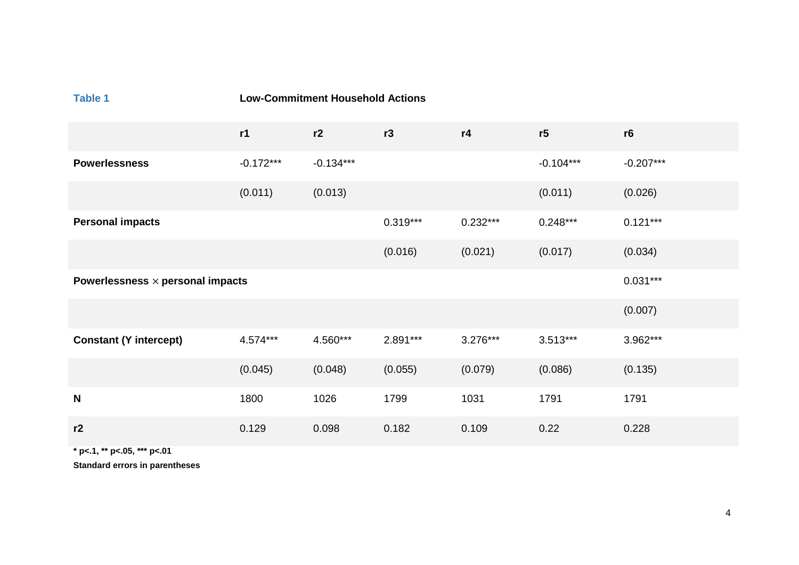| <b>Table 1</b>                          | <b>Low-Commitment Household Actions</b> |             |            |            |             |             |
|-----------------------------------------|-----------------------------------------|-------------|------------|------------|-------------|-------------|
|                                         | r1                                      | r2          | r3         | r4         | r5          | r6          |
| <b>Powerlessness</b>                    | $-0.172***$                             | $-0.134***$ |            |            | $-0.104***$ | $-0.207***$ |
|                                         | (0.011)                                 | (0.013)     |            |            | (0.011)     | (0.026)     |
| <b>Personal impacts</b>                 |                                         |             | $0.319***$ | $0.232***$ | $0.248***$  | $0.121***$  |
|                                         |                                         |             | (0.016)    | (0.021)    | (0.017)     | (0.034)     |
| Powerlessness $\times$ personal impacts |                                         |             |            |            |             | $0.031***$  |
|                                         |                                         |             |            |            |             | (0.007)     |
| <b>Constant (Y intercept)</b>           | $4.574***$                              | 4.560***    | $2.891***$ | $3.276***$ | $3.513***$  | 3.962***    |
|                                         | (0.045)                                 | (0.048)     | (0.055)    | (0.079)    | (0.086)     | (0.135)     |
| N                                       | 1800                                    | 1026        | 1799       | 1031       | 1791        | 1791        |
| r2                                      | 0.129                                   | 0.098       | 0.182      | 0.109      | 0.22        | 0.228       |

**\* p<.1, \*\* p<.05, \*\*\* p<.01**

**Standard errors in parentheses**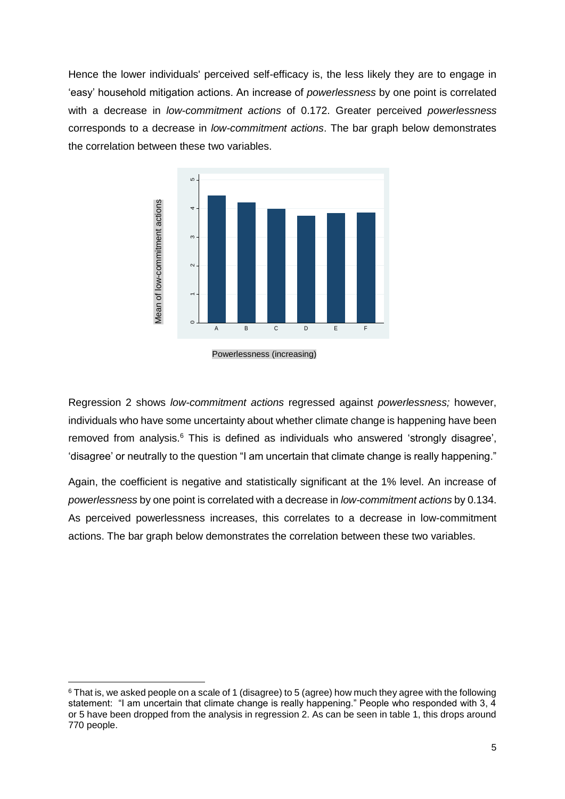Hence the lower individuals' perceived self-efficacy is, the less likely they are to engage in 'easy' household mitigation actions. An increase of *powerlessness* by one point is correlated with a decrease in *low-commitment actions* of 0.172. Greater perceived *powerlessness* corresponds to a decrease in *low-commitment actions*. The bar graph below demonstrates the correlation between these two variables.



Powerlessness (increasing)

Regression 2 shows *low-commitment actions* regressed against *powerlessness;* however, individuals who have some uncertainty about whether climate change is happening have been removed from analysis. <sup>6</sup> This is defined as individuals who answered 'strongly disagree', 'disagree' or neutrally to the question "I am uncertain that climate change is really happening."

Again, the coefficient is negative and statistically significant at the 1% level. An increase of *powerlessness* by one point is correlated with a decrease in *low-commitment actions* by 0.134. As perceived powerlessness increases, this correlates to a decrease in low-commitment actions. The bar graph below demonstrates the correlation between these two variables.

**<sup>.</sup>**  $6$  That is, we asked people on a scale of 1 (disagree) to 5 (agree) how much they agree with the following statement: "I am uncertain that climate change is really happening." People who responded with 3, 4 or 5 have been dropped from the analysis in regression 2. As can be seen in table 1, this drops around 770 people.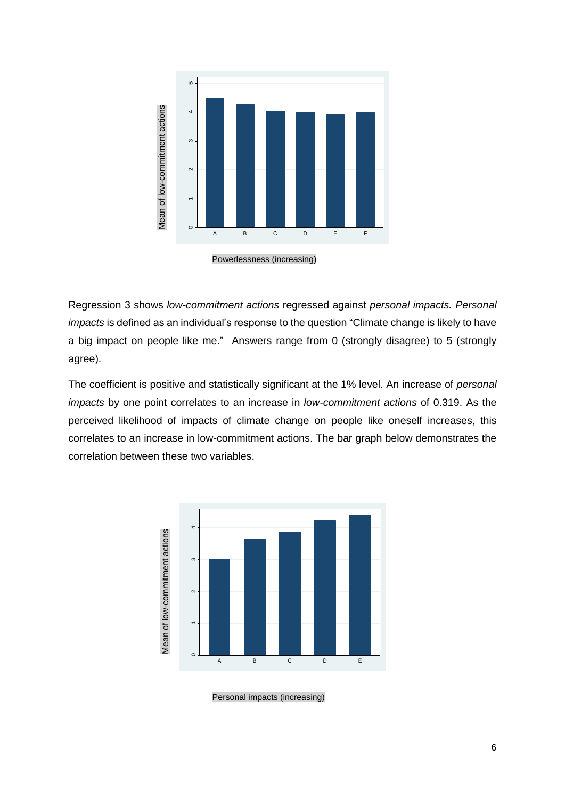

Powerlessness (increasing)

Regression 3 shows *low-commitment actions* regressed against *personal impacts. Personal impacts* is defined as an individual's response to the question "Climate change is likely to have a big impact on people like me." Answers range from 0 (strongly disagree) to 5 (strongly agree).

The coefficient is positive and statistically significant at the 1% level. An increase of *personal impacts* by one point correlates to an increase in *low-commitment actions* of 0.319. As the perceived likelihood of impacts of climate change on people like oneself increases, this correlates to an increase in low-commitment actions. The bar graph below demonstrates the



Personal impacts (increasing)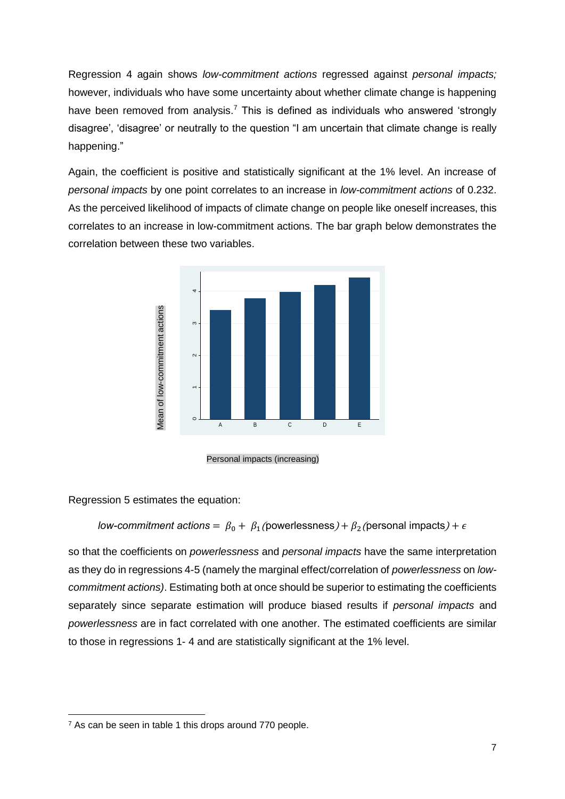Regression 4 again shows *low-commitment actions* regressed against *personal impacts;* however, individuals who have some uncertainty about whether climate change is happening have been removed from analysis.<sup>7</sup> This is defined as individuals who answered 'strongly disagree', 'disagree' or neutrally to the question "I am uncertain that climate change is really happening."

Again, the coefficient is positive and statistically significant at the 1% level. An increase of *personal impacts* by one point correlates to an increase in *low-commitment actions* of 0.232. As the perceived likelihood of impacts of climate change on people like oneself increases, this correlates to an increase in low-commitment actions. The bar graph below demonstrates the correlation between these two variables.



Personal impacts (increasing)

Regression 5 estimates the equation:

#### *low-commitment actions*  $= \ \beta_0 + \ \beta_1$  *(*powerlessness $) + \beta_2$  (personal impacts $) + \epsilon$

so that the coefficients on *powerlessness* and *personal impacts* have the same interpretation as they do in regressions 4-5 (namely the marginal effect/correlation of *powerlessness* on *lowcommitment actions)*. Estimating both at once should be superior to estimating the coefficients separately since separate estimation will produce biased results if *personal impacts* and *powerlessness* are in fact correlated with one another. The estimated coefficients are similar to those in regressions 1- 4 and are statistically significant at the 1% level. **Process are seen in table 1** this drops around 770 people.<br>
The second impacts (increasing the second impacts of low-commitment actions =  $\beta_0 + \beta_1$  (powerless<br>
so that the coefficients on *powerlessness* and *perso*<br>
a

**<sup>.</sup>**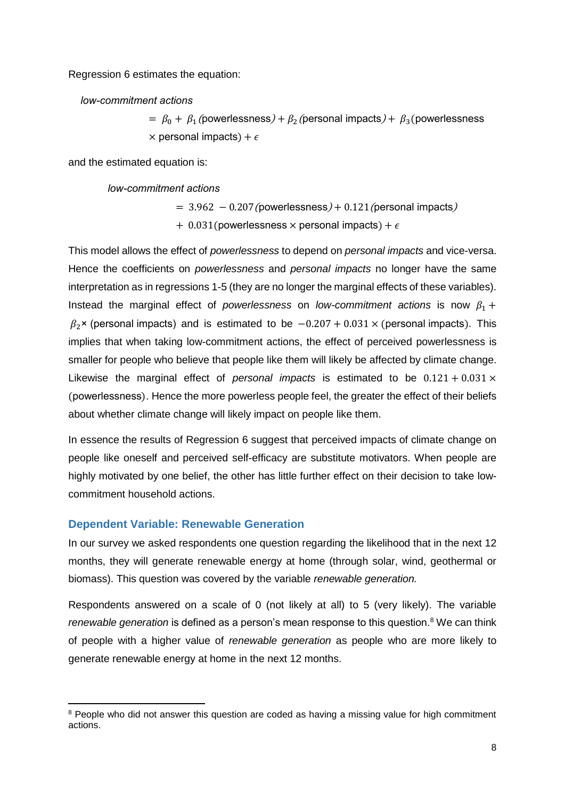Regression 6 estimates the equation:

*low-commitment actions*

 $= \, \beta_0 + \, \beta_1$  (powerlessness $) + \beta_2$  (personal impacts $) + \, \beta_3$  (powerlessness  $\times$  personal impacts) +  $\epsilon$ 

and the estimated equation is:

*low-commitment actions*

 $= 3.962 - 0.207$ (powerlessness) + 0.121 (personal impacts)

 $+$  0.031(powerlessness  $\times$  personal impacts) +  $\epsilon$ 

This model allows the effect of *powerlessness* to depend on *personal impacts* and vice-versa. Hence the coefficients on *powerlessness* and *personal impacts* no longer have the same interpretation as in regressions 1-5 (they are no longer the marginal effects of these variables). Instead the marginal effect of *powerlessness* on *low-commitment actions* is now  $\beta_1$  +  $\beta_2$  × (personal impacts) and is estimated to be  $-0.207 + 0.031 \times$  (personal impacts). This implies that when taking low-commitment actions, the effect of perceived powerlessness is smaller for people who believe that people like them will likely be affected by climate change. Likewise the marginal effect of *personal impacts* is estimated to be  $0.121 + 0.031 \times$ (powerlessness). Hence the more powerless people feel, the greater the effect of their beliefs about whether climate change will likely impact on people like them.

In essence the results of Regression 6 suggest that perceived impacts of climate change on people like oneself and perceived self-efficacy are substitute motivators. When people are highly motivated by one belief, the other has little further effect on their decision to take lowcommitment household actions.

#### **Dependent Variable: Renewable Generation**

In our survey we asked respondents one question regarding the likelihood that in the next 12 months, they will generate renewable energy at home (through solar, wind, geothermal or biomass). This question was covered by the variable *renewable generation.* 

Respondents answered on a scale of 0 (not likely at all) to 5 (very likely). The variable *renewable generation* is defined as a person's mean response to this question.<sup>8</sup> We can think of people with a higher value of *renewable generation* as people who are more likely to generate renewable energy at home in the next 12 months.

**<sup>.</sup>** <sup>8</sup> People who did not answer this question are coded as having a missing value for high commitment actions.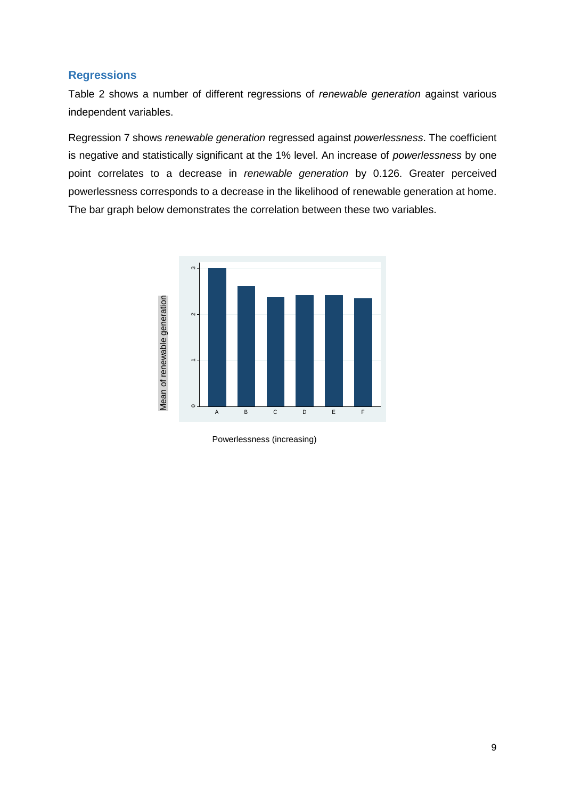#### **Regressions**

Table 2 shows a number of different regressions of *renewable generation* against various independent variables.

Regression 7 shows *renewable generation* regressed against *powerlessness*. The coefficient is negative and statistically significant at the 1% level. An increase of *powerlessness* by one point correlates to a decrease in *renewable generation* by 0.126. Greater perceived powerlessness corresponds to a decrease in the likelihood of renewable generation at home. The bar graph below demonstrates the correlation between these two variables.



Powerlessness (increasing)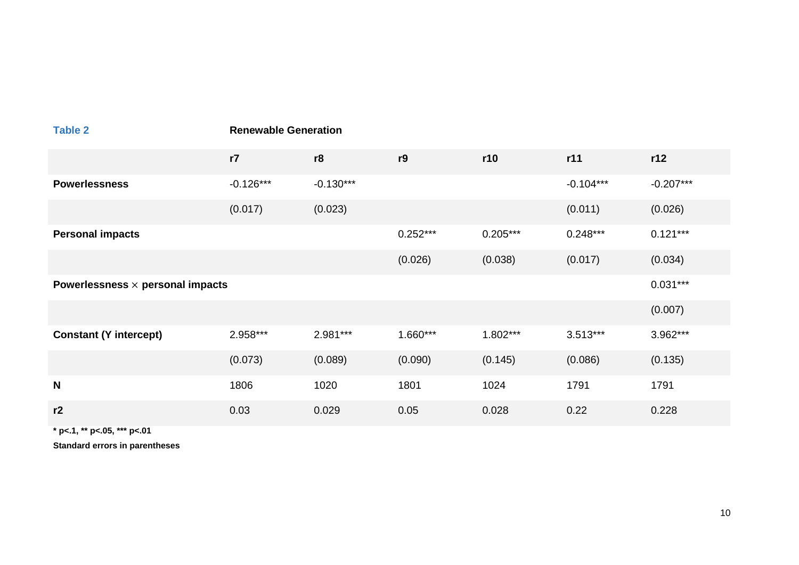| <b>Table 2</b>                          | <b>Renewable Generation</b> |             |            |            |             |             |  |
|-----------------------------------------|-----------------------------|-------------|------------|------------|-------------|-------------|--|
|                                         | r7                          | r8          | r9         | r10        | r11         | r12         |  |
| <b>Powerlessness</b>                    | $-0.126***$                 | $-0.130***$ |            |            | $-0.104***$ | $-0.207***$ |  |
|                                         | (0.017)                     | (0.023)     |            |            | (0.011)     | (0.026)     |  |
| <b>Personal impacts</b>                 |                             |             | $0.252***$ | $0.205***$ | $0.248***$  | $0.121***$  |  |
|                                         |                             |             | (0.026)    | (0.038)    | (0.017)     | (0.034)     |  |
| Powerlessness $\times$ personal impacts |                             |             |            |            |             | $0.031***$  |  |
|                                         |                             |             |            |            |             | (0.007)     |  |
| <b>Constant (Y intercept)</b>           | 2.958***                    | 2.981***    | $1.660***$ | $1.802***$ | $3.513***$  | 3.962***    |  |
|                                         | (0.073)                     | (0.089)     | (0.090)    | (0.145)    | (0.086)     | (0.135)     |  |
| N                                       | 1806                        | 1020        | 1801       | 1024       | 1791        | 1791        |  |
| r2                                      | 0.03                        | 0.029       | 0.05       | 0.028      | 0.22        | 0.228       |  |
|                                         |                             |             |            |            |             |             |  |

**\* p<.1, \*\* p<.05, \*\*\* p<.01**

**Standard errors in parentheses**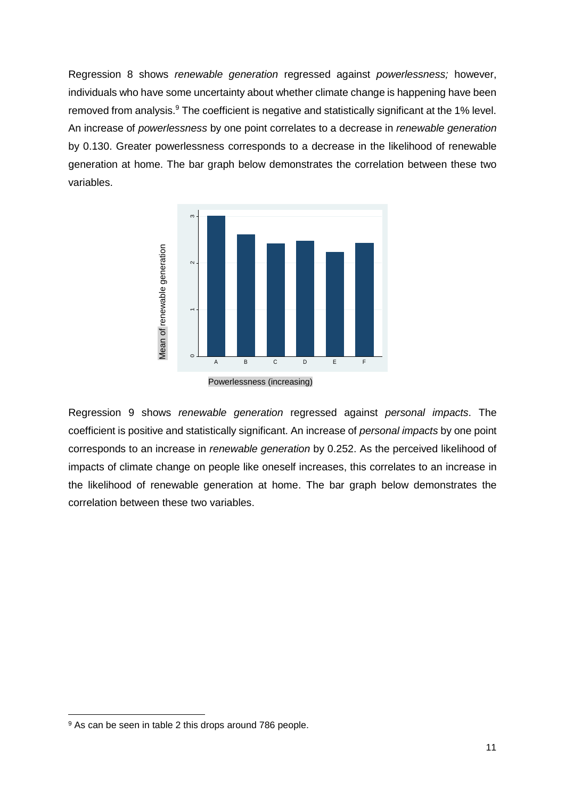Regression 8 shows *renewable generation* regressed against *powerlessness;* however, individuals who have some uncertainty about whether climate change is happening have been removed from analysis.<sup>9</sup> The coefficient is negative and statistically significant at the 1% level. An increase of *powerlessness* by one point correlates to a decrease in *renewable generation* by 0.130. Greater powerlessness corresponds to a decrease in the likelihood of renewable generation at home. The bar graph below demonstrates the correlation between these two variables.



Powerlessness (increasing)

Regression 9 shows *renewable generation* regressed against *personal impacts*. The coefficient is positive and statistically significant. An increase of *personal impacts* by one point corresponds to an increase in *renewable generation* by 0.252. As the perceived likelihood of impacts of climate change on people like oneself increases, this correlates to an increase in the likelihood of renewable generation at home. The bar graph below demonstrates the correlation between these two variables.

<sup>9</sup> As can be seen in table 2 this drops around 786 people.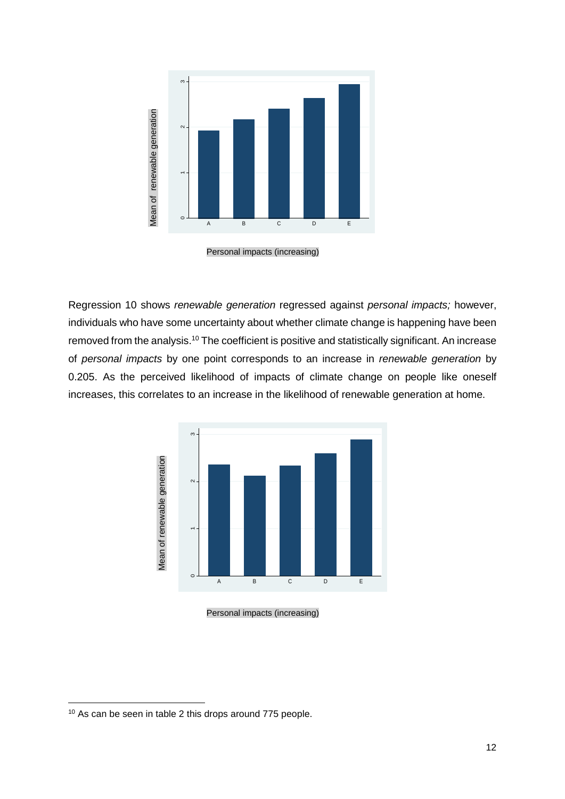

Personal impacts (increasing)

Regression 10 shows *renewable generation* regressed against *personal impacts;* however, individuals who have some uncertainty about whether climate change is happening have been removed from the analysis.<sup>10</sup> The coefficient is positive and statistically significant. An increase of *personal impacts* by one point corresponds to an increase in *renewable generation* by 0.205. As the perceived likelihood of impacts of climate change on people like oneself increases, this correlates to an increase in the likelihood of renewable generation at home.



Personal impacts (increasing)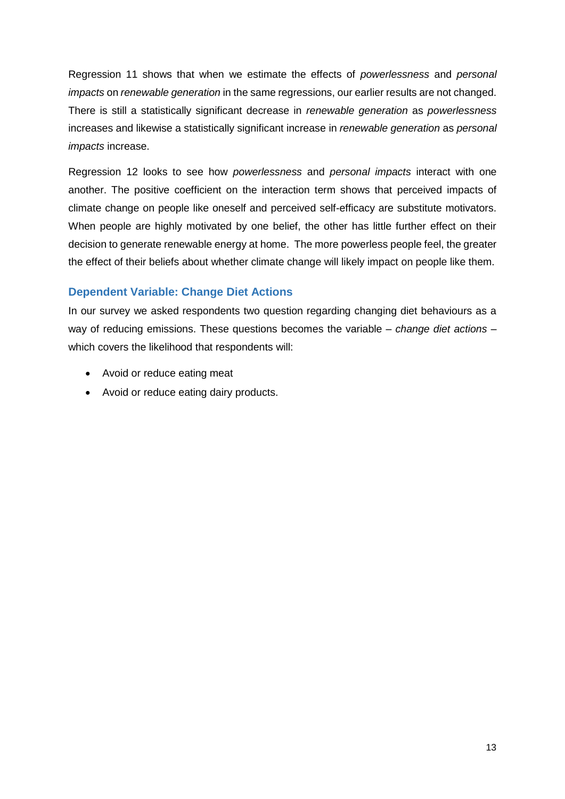Regression 11 shows that when we estimate the effects of *powerlessness* and *personal impacts* on *renewable generation* in the same regressions, our earlier results are not changed. There is still a statistically significant decrease in *renewable generation* as *powerlessness* increases and likewise a statistically significant increase in *renewable generation* as *personal impacts* increase.

Regression 12 looks to see how *powerlessness* and *personal impacts* interact with one another. The positive coefficient on the interaction term shows that perceived impacts of climate change on people like oneself and perceived self-efficacy are substitute motivators. When people are highly motivated by one belief, the other has little further effect on their decision to generate renewable energy at home. The more powerless people feel, the greater the effect of their beliefs about whether climate change will likely impact on people like them.

### **Dependent Variable: Change Diet Actions**

In our survey we asked respondents two question regarding changing diet behaviours as a way of reducing emissions. These questions becomes the variable – *change diet actions* – which covers the likelihood that respondents will:

- Avoid or reduce eating meat
- Avoid or reduce eating dairy products.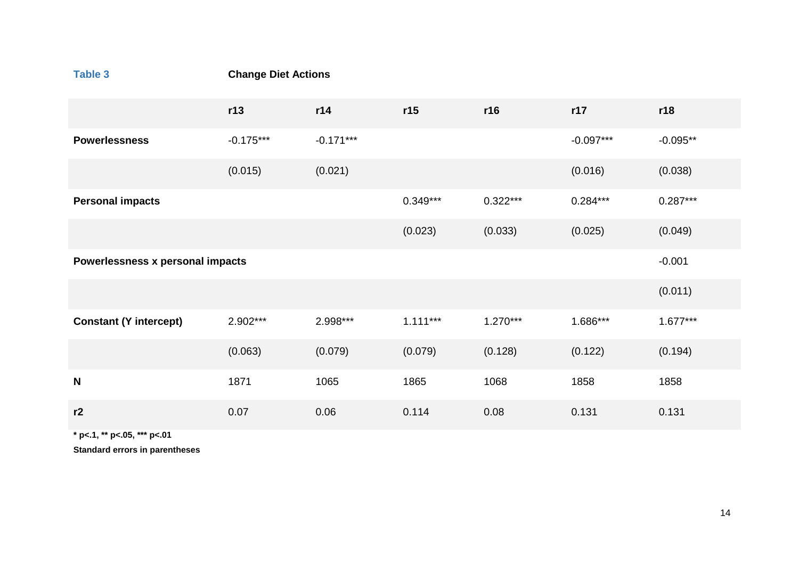| Table 3                          | <b>Change Diet Actions</b> |             |            |            |             |            |  |
|----------------------------------|----------------------------|-------------|------------|------------|-------------|------------|--|
|                                  | r13                        | r14         | r15        | r16        | r17         | r18        |  |
| <b>Powerlessness</b>             | $-0.175***$                | $-0.171***$ |            |            | $-0.097***$ | $-0.095**$ |  |
|                                  | (0.015)                    | (0.021)     |            |            | (0.016)     | (0.038)    |  |
| <b>Personal impacts</b>          |                            |             | $0.349***$ | $0.322***$ | $0.284***$  | $0.287***$ |  |
|                                  |                            |             | (0.023)    | (0.033)    | (0.025)     | (0.049)    |  |
| Powerlessness x personal impacts |                            |             |            | $-0.001$   |             |            |  |
|                                  |                            |             |            |            |             | (0.011)    |  |
| <b>Constant (Y intercept)</b>    | 2.902***                   | 2.998***    | $1.111***$ | $1.270***$ | 1.686***    | $1.677***$ |  |
|                                  | (0.063)                    | (0.079)     | (0.079)    | (0.128)    | (0.122)     | (0.194)    |  |
| $\mathbf N$                      | 1871                       | 1065        | 1865       | 1068       | 1858        | 1858       |  |
| r2                               | 0.07                       | 0.06        | 0.114      | 0.08       | 0.131       | 0.131      |  |

**\* p<.1, \*\* p<.05, \*\*\* p<.01**

**Standard errors in parentheses**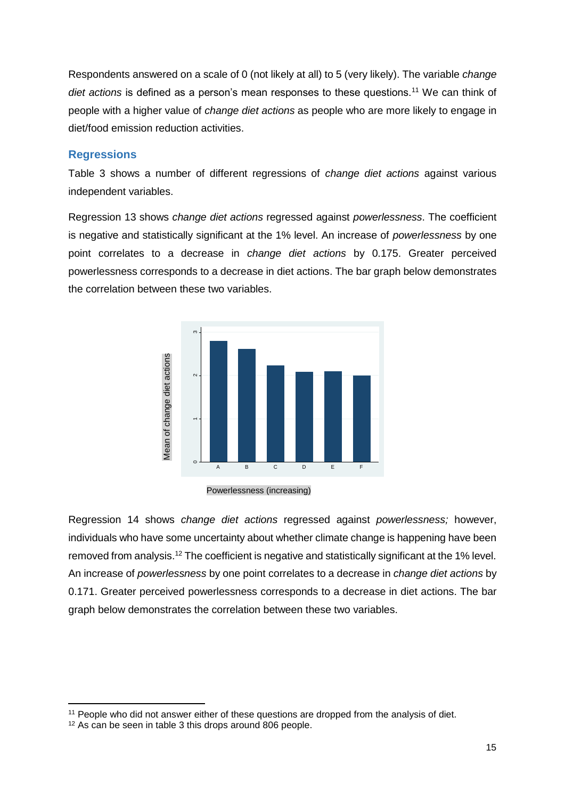Respondents answered on a scale of 0 (not likely at all) to 5 (very likely). The variable *change diet actions* is defined as a person's mean responses to these questions.<sup>11</sup> We can think of people with a higher value of *change diet actions* as people who are more likely to engage in diet/food emission reduction activities.

#### **Regressions**

Table 3 shows a number of different regressions of *change diet actions* against various independent variables.

Regression 13 shows *change diet actions* regressed against *powerlessness*. The coefficient is negative and statistically significant at the 1% level. An increase of *powerlessness* by one point correlates to a decrease in *change diet actions* by 0.175. Greater perceived powerlessness corresponds to a decrease in diet actions. The bar graph below demonstrates the correlation between these two variables.



Powerlessness (increasing)

Regression 14 shows *change diet actions* regressed against *powerlessness;* however, individuals who have some uncertainty about whether climate change is happening have been removed from analysis.<sup>12</sup> The coefficient is negative and statistically significant at the 1% level. An increase of *powerlessness* by one point correlates to a decrease in *change diet actions* by 0.171. Greater perceived powerlessness corresponds to a decrease in diet actions. The bar graph below demonstrates the correlation between these two variables. France of the seen in table 3 this drops around 806 people.<br>
The seen in table 3 this drops are seen in table 3 this drops are seen in table 3 this drops around 806 people.<br>
The seen in table 3 this drops around 806 people

**<sup>.</sup>** <sup>11</sup> People who did not answer either of these questions are dropped from the analysis of diet.<br><sup>12</sup> As can be seen in table 3 this drops around 806 people.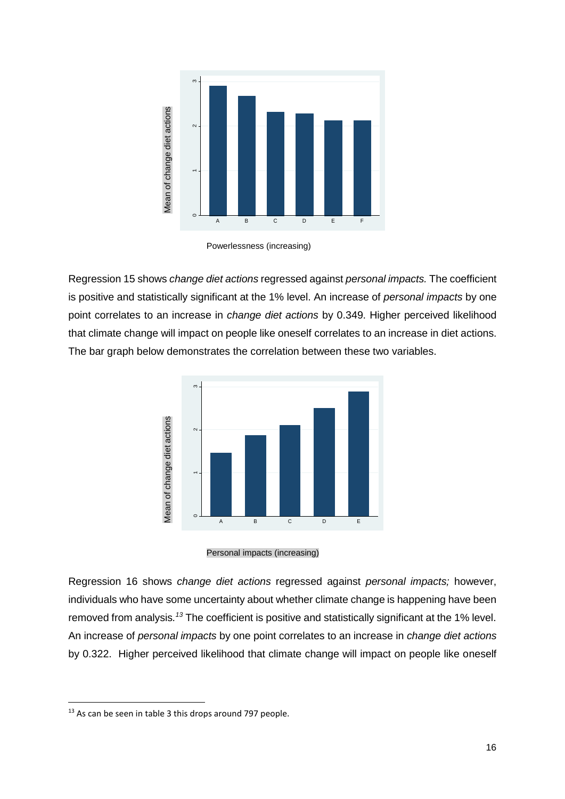

Powerlessness (increasing)

Regression 15 shows *change diet actions* regressed against *personal impacts.* The coefficient is positive and statistically significant at the 1% level. An increase of *personal impacts* by one point correlates to an increase in *change diet actions* by 0.349. Higher perceived likelihood that climate change will impact on people like oneself correlates to an increase in diet actions. The bar graph below demonstrates the correlation between these two variables.





Regression 16 shows *change diet actions* regressed against *personal impacts;* however, individuals who have some uncertainty about whether climate change is happening have been removed from analysis.<sup>13</sup> The coefficient is positive and statistically significant at the 1% level. An increase of *personal impacts* by one point correlates to an increase in *change diet actions* by 0.322. Higher perceived likelihood that climate change will impact on people like oneself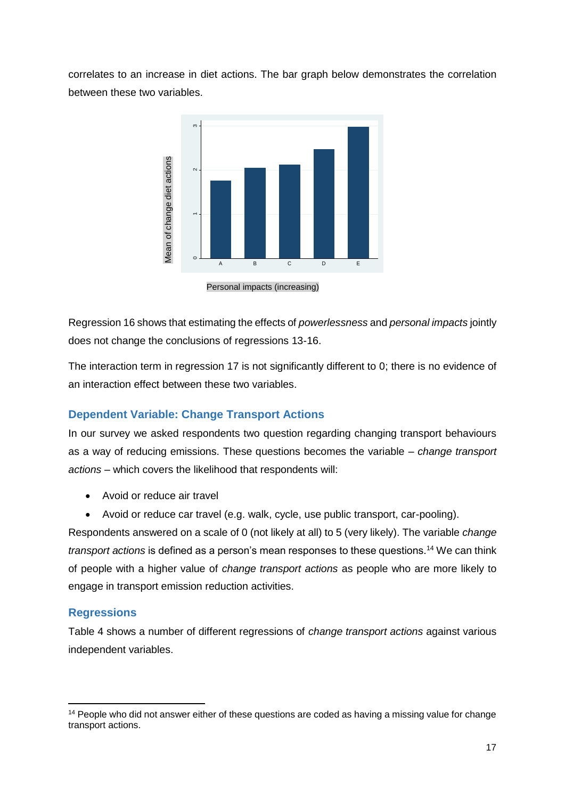correlates to an increase in diet actions. The bar graph below demonstrates the correlation between these two variables.



Personal impacts (increasing)

Regression 16 shows that estimating the effects of *powerlessness* and *personal impacts* jointly does not change the conclusions of regressions 13-16.

The interaction term in regression 17 is not significantly different to 0; there is no evidence of an interaction effect between these two variables.

## **Dependent Variable: Change Transport Actions**

In our survey we asked respondents two question regarding changing transport behaviours as a way of reducing emissions. These questions becomes the variable – *change transport actions* – which covers the likelihood that respondents will:

- Avoid or reduce air travel
- Avoid or reduce car travel (e.g. walk, cycle, use public transport, car-pooling).

Respondents answered on a scale of 0 (not likely at all) to 5 (very likely). The variable *change transport actions* is defined as a person's mean responses to these questions.<sup>14</sup> We can think of people with a higher value of *change transport actions* as people who are more likely to engage in transport emission reduction activities.

#### **Regressions**

**.** 

Table 4 shows a number of different regressions of *change transport actions* against various independent variables.

<sup>&</sup>lt;sup>14</sup> People who did not answer either of these questions are coded as having a missing value for change transport actions.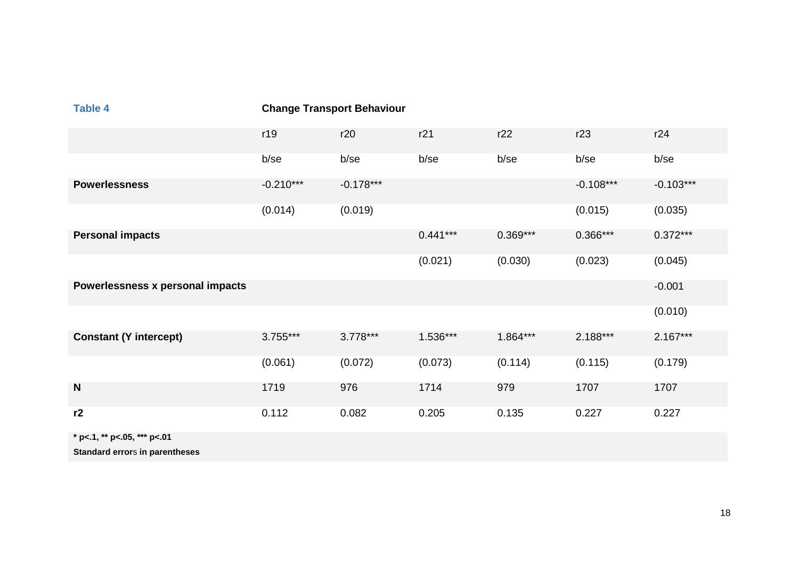| <b>Table 4</b>                   | <b>Change Transport Behaviour</b> |             |            |            |             |             |
|----------------------------------|-----------------------------------|-------------|------------|------------|-------------|-------------|
|                                  | r19                               | r20         | r21        | r22        | r23         | r24         |
|                                  | b/se                              | b/se        | b/se       | b/se       | b/se        | b/se        |
| <b>Powerlessness</b>             | $-0.210***$                       | $-0.178***$ |            |            | $-0.108***$ | $-0.103***$ |
|                                  | (0.014)                           | (0.019)     |            |            | (0.015)     | (0.035)     |
| <b>Personal impacts</b>          |                                   |             | $0.441***$ | $0.369***$ | $0.366***$  | $0.372***$  |
|                                  |                                   |             | (0.021)    | (0.030)    | (0.023)     | (0.045)     |
| Powerlessness x personal impacts |                                   |             |            |            |             | $-0.001$    |
|                                  |                                   |             |            |            |             | (0.010)     |
| <b>Constant (Y intercept)</b>    | $3.755***$                        | $3.778***$  | 1.536***   | 1.864***   | $2.188***$  | $2.167***$  |
|                                  | (0.061)                           | (0.072)     | (0.073)    | (0.114)    | (0.115)     | (0.179)     |
| $\mathbf N$                      | 1719                              | 976         | 1714       | 979        | 1707        | 1707        |
| r2                               | 0.112                             | 0.082       | 0.205      | 0.135      | 0.227       | 0.227       |
| * p<.1, ** p<.05, *** p<.01      |                                   |             |            |            |             |             |

**Standard error**s **in parentheses**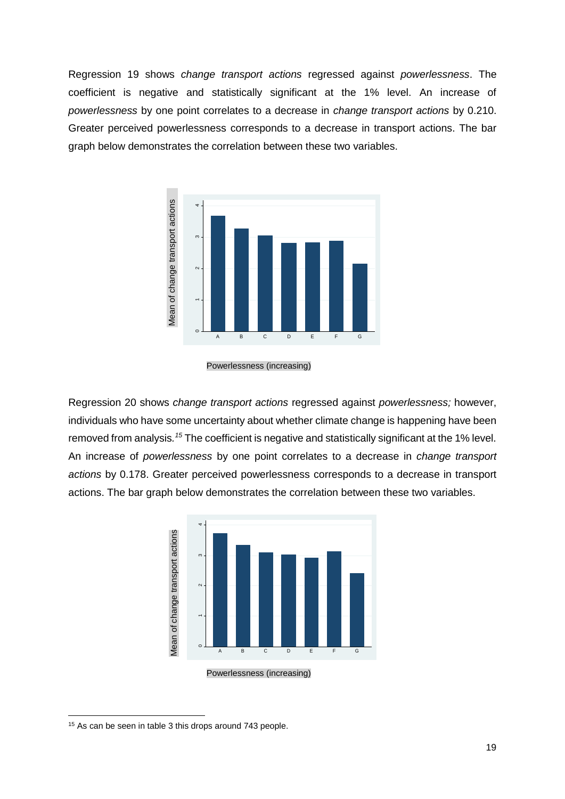Regression 19 shows *change transport actions* regressed against *powerlessness*. The coefficient is negative and statistically significant at the 1% level. An increase of *powerlessness* by one point correlates to a decrease in *change transport actions* by 0.210. Greater perceived powerlessness corresponds to a decrease in transport actions. The bar graph below demonstrates the correlation between these two variables.



Powerlessness (increasing)

Regression 20 shows *change transport actions* regressed against *powerlessness;* however, individuals who have some uncertainty about whether climate change is happening have been removed from analysis*. <sup>15</sup>* The coefficient is negative and statistically significant at the 1% level. An increase of *powerlessness* by one point correlates to a decrease in *change transport actions* by 0.178. Greater perceived powerlessness corresponds to a decrease in transport actions. The bar graph below demonstrates the correlation between these two variables.



Powerlessness (increasing)

<sup>15</sup> As can be seen in table 3 this drops around 743 people.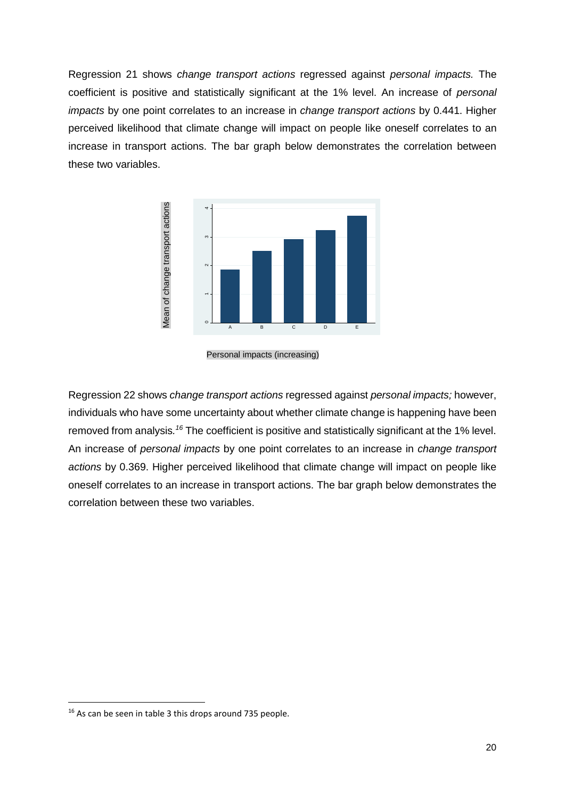Regression 21 shows *change transport actions* regressed against *personal impacts.* The coefficient is positive and statistically significant at the 1% level. An increase of *personal impacts* by one point correlates to an increase in *change transport actions* by 0.441. Higher perceived likelihood that climate change will impact on people like oneself correlates to an increase in transport actions. The bar graph below demonstrates the correlation between these two variables.



Personal impacts (increasing)

Regression 22 shows *change transport actions* regressed against *personal impacts;* however, individuals who have some uncertainty about whether climate change is happening have been removed from analysis.<sup>16</sup> The coefficient is positive and statistically significant at the 1% level. An increase of *personal impacts* by one point correlates to an increase in *change transport actions* by 0.369. Higher perceived likelihood that climate change will impact on people like oneself correlates to an increase in transport actions. The bar graph below demonstrates the correlation between these two variables. Francis Control and See The Seenal Impacts (increase is a the seen in table 3 this drops around 735 people.<br>
The coefficient is position in the seed of personal impacts by one point coefficient is positions by 0.369. Highe